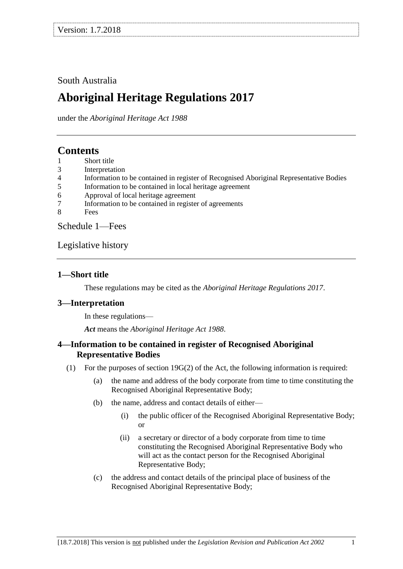## South Australia

# **Aboriginal Heritage Regulations 2017**

under the *Aboriginal Heritage Act 1988*

## **Contents**

- 1 Short title
- 3 Interpretation
- 4 Information to be contained in register of Recognised Aboriginal Representative Bodies
- 5 Information to be contained in local heritage agreement
- 6 Approval of local heritage agreement
- 7 Information to be contained in register of agreements
- 8 Fees

Schedule 1—Fees

### Legislative history

### **1—Short title**

These regulations may be cited as the *Aboriginal Heritage Regulations 2017*.

## **3—Interpretation**

In these regulations—

*Act* means the *Aboriginal Heritage Act 1988*.

### **4—Information to be contained in register of Recognised Aboriginal Representative Bodies**

- (1) For the purposes of section 19G(2) of the Act, the following information is required:
	- (a) the name and address of the body corporate from time to time constituting the Recognised Aboriginal Representative Body;
	- (b) the name, address and contact details of either—
		- (i) the public officer of the Recognised Aboriginal Representative Body; or
		- (ii) a secretary or director of a body corporate from time to time constituting the Recognised Aboriginal Representative Body who will act as the contact person for the Recognised Aboriginal Representative Body;
	- (c) the address and contact details of the principal place of business of the Recognised Aboriginal Representative Body;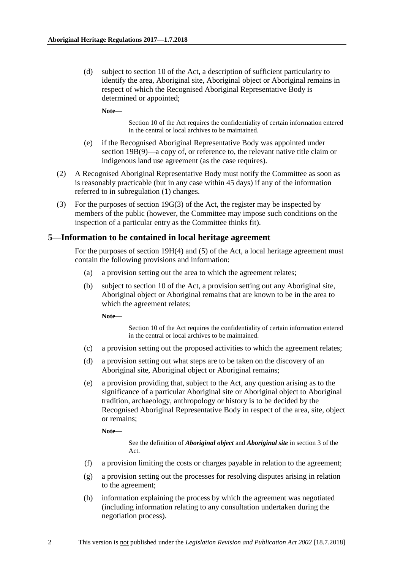(d) subject to section 10 of the Act, a description of sufficient particularity to identify the area, Aboriginal site, Aboriginal object or Aboriginal remains in respect of which the Recognised Aboriginal Representative Body is determined or appointed;

**Note—**

Section 10 of the Act requires the confidentiality of certain information entered in the central or local archives to be maintained.

- (e) if the Recognised Aboriginal Representative Body was appointed under section 19B(9)—a copy of, or reference to, the relevant native title claim or indigenous land use agreement (as the case requires).
- (2) A Recognised Aboriginal Representative Body must notify the Committee as soon as is reasonably practicable (but in any case within 45 days) if any of the information referred to in subregulation (1) changes.
- (3) For the purposes of section 19G(3) of the Act, the register may be inspected by members of the public (however, the Committee may impose such conditions on the inspection of a particular entry as the Committee thinks fit).

#### **5—Information to be contained in local heritage agreement**

For the purposes of section 19H(4) and (5) of the Act, a local heritage agreement must contain the following provisions and information:

- (a) a provision setting out the area to which the agreement relates;
- (b) subject to section 10 of the Act, a provision setting out any Aboriginal site, Aboriginal object or Aboriginal remains that are known to be in the area to which the agreement relates;

**Note—**

Section 10 of the Act requires the confidentiality of certain information entered in the central or local archives to be maintained.

- (c) a provision setting out the proposed activities to which the agreement relates;
- (d) a provision setting out what steps are to be taken on the discovery of an Aboriginal site, Aboriginal object or Aboriginal remains;
- (e) a provision providing that, subject to the Act, any question arising as to the significance of a particular Aboriginal site or Aboriginal object to Aboriginal tradition, archaeology, anthropology or history is to be decided by the Recognised Aboriginal Representative Body in respect of the area, site, object or remains;

**Note—**

See the definition of *Aboriginal object* and *Aboriginal site* in section 3 of the Act.

- (f) a provision limiting the costs or charges payable in relation to the agreement;
- (g) a provision setting out the processes for resolving disputes arising in relation to the agreement;
- (h) information explaining the process by which the agreement was negotiated (including information relating to any consultation undertaken during the negotiation process).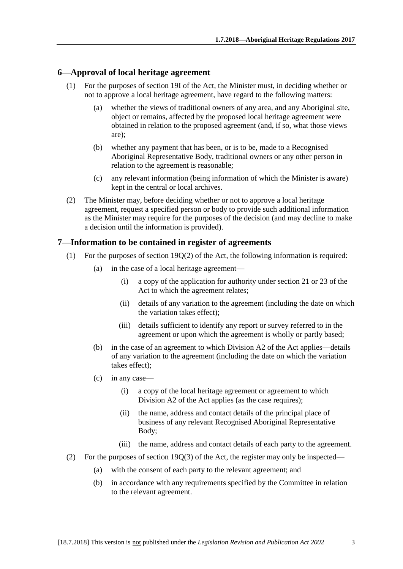#### **6—Approval of local heritage agreement**

- (1) For the purposes of section 19I of the Act, the Minister must, in deciding whether or not to approve a local heritage agreement, have regard to the following matters:
	- (a) whether the views of traditional owners of any area, and any Aboriginal site, object or remains, affected by the proposed local heritage agreement were obtained in relation to the proposed agreement (and, if so, what those views are);
	- (b) whether any payment that has been, or is to be, made to a Recognised Aboriginal Representative Body, traditional owners or any other person in relation to the agreement is reasonable;
	- (c) any relevant information (being information of which the Minister is aware) kept in the central or local archives.
- (2) The Minister may, before deciding whether or not to approve a local heritage agreement, request a specified person or body to provide such additional information as the Minister may require for the purposes of the decision (and may decline to make a decision until the information is provided).

#### **7—Information to be contained in register of agreements**

- (1) For the purposes of section  $19O(2)$  of the Act, the following information is required:
	- (a) in the case of a local heritage agreement—
		- (i) a copy of the application for authority under section 21 or 23 of the Act to which the agreement relates;
		- (ii) details of any variation to the agreement (including the date on which the variation takes effect);
		- (iii) details sufficient to identify any report or survey referred to in the agreement or upon which the agreement is wholly or partly based;
	- (b) in the case of an agreement to which Division A2 of the Act applies—details of any variation to the agreement (including the date on which the variation takes effect);
	- (c) in any case—
		- (i) a copy of the local heritage agreement or agreement to which Division A2 of the Act applies (as the case requires);
		- (ii) the name, address and contact details of the principal place of business of any relevant Recognised Aboriginal Representative Body;
		- (iii) the name, address and contact details of each party to the agreement.
- (2) For the purposes of section  $19Q(3)$  of the Act, the register may only be inspected—
	- (a) with the consent of each party to the relevant agreement; and
	- (b) in accordance with any requirements specified by the Committee in relation to the relevant agreement.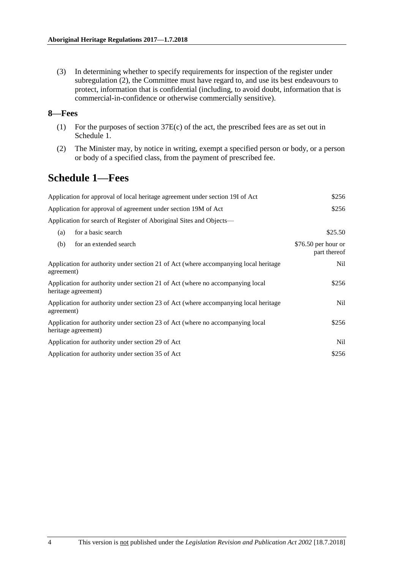(3) In determining whether to specify requirements for inspection of the register under subregulation (2), the Committee must have regard to, and use its best endeavours to protect, information that is confidential (including, to avoid doubt, information that is commercial-in-confidence or otherwise commercially sensitive).

#### **8—Fees**

- (1) For the purposes of section 37E(c) of the act, the prescribed fees are as set out in Schedule 1.
- (2) The Minister may, by notice in writing, exempt a specified person or body, or a person or body of a specified class, from the payment of prescribed fee.

## **Schedule 1—Fees**

| Application for approval of local heritage agreement under section 19I of Act                         | \$256                                |
|-------------------------------------------------------------------------------------------------------|--------------------------------------|
| Application for approval of agreement under section 19M of Act                                        | \$256                                |
| Application for search of Register of Aboriginal Sites and Objects—                                   |                                      |
| for a basic search<br>(a)                                                                             | \$25.50                              |
| (b)<br>for an extended search                                                                         | $$76.50$ per hour or<br>part thereof |
| Application for authority under section 21 of Act (where accompanying local heritage<br>agreement)    | Nil                                  |
| Application for authority under section 21 of Act (where no accompanying local<br>heritage agreement) | \$256                                |
| Application for authority under section 23 of Act (where accompanying local heritage<br>agreement)    | Nil                                  |
| Application for authority under section 23 of Act (where no accompanying local<br>heritage agreement) | \$256                                |
| Application for authority under section 29 of Act                                                     | Nil                                  |
| Application for authority under section 35 of Act                                                     | \$256                                |